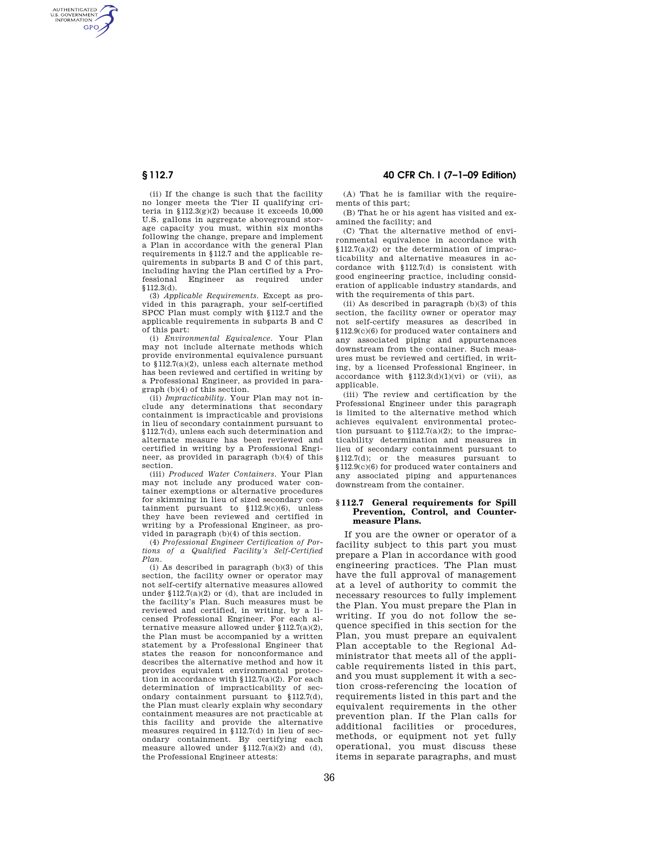AUTHENTICATED<br>U.S. GOVERNMENT<br>INFORMATION **GPO** 

> (ii) If the change is such that the facility no longer meets the Tier II qualifying criteria in  $$112.3(g)(2)$  because it exceeds 10.000 U.S. gallons in aggregate aboveground storage capacity you must, within six months following the change, prepare and implement a Plan in accordance with the general Plan requirements in §112.7 and the applicable requirements in subparts B and C of this part, including having the Plan certified by a Professional Engineer as required under §112.3(d).

(3) *Applicable Requirements.* Except as provided in this paragraph, your self-certified SPCC Plan must comply with §112.7 and the applicable requirements in subparts B and C of this part:

(i) *Environmental Equivalence.* Your Plan may not include alternate methods which provide environmental equivalence pursuant to §112.7(a)(2), unless each alternate method has been reviewed and certified in writing by a Professional Engineer, as provided in paragraph (b)(4) of this section.

(ii) *Impracticability.* Your Plan may not include any determinations that secondary containment is impracticable and provisions in lieu of secondary containment pursuant to §112.7(d), unless each such determination and alternate measure has been reviewed and certified in writing by a Professional Engineer, as provided in paragraph (b)(4) of this section.

(iii) *Produced Water Containers.* Your Plan may not include any produced water container exemptions or alternative procedures for skimming in lieu of sized secondary containment pursuant to  $$112.9(c)(6)$ , unless they have been reviewed and certified in writing by a Professional Engineer, as provided in paragraph (b)(4) of this section.

(4) *Professional Engineer Certification of Portions of a Qualified Facility's Self-Certified Plan.* 

(i) As described in paragraph (b)(3) of this section, the facility owner or operator may not self-certify alternative measures allowed under §112.7(a)(2) or (d), that are included in the facility's Plan. Such measures must be reviewed and certified, in writing, by a licensed Professional Engineer. For each alternative measure allowed under  $$112.7(a)(2),$ the Plan must be accompanied by a written statement by a Professional Engineer that states the reason for nonconformance and describes the alternative method and how it provides equivalent environmental protection in accordance with §112.7(a)(2). For each determination of impracticability of secondary containment pursuant to §112.7(d), the Plan must clearly explain why secondary containment measures are not practicable at this facility and provide the alternative measures required in §112.7(d) in lieu of secondary containment. By certifying each measure allowed under §112.7(a)(2) and (d), the Professional Engineer attests:

**§ 112.7 40 CFR Ch. I (7–1–09 Edition)** 

(A) That he is familiar with the requirements of this part;

(B) That he or his agent has visited and examined the facility; and

(C) That the alternative method of environmental equivalence in accordance with §112.7(a)(2) or the determination of impracticability and alternative measures in accordance with §112.7(d) is consistent with good engineering practice, including consideration of applicable industry standards, and with the requirements of this part.

(ii) As described in paragraph (b)(3) of this section, the facility owner or operator may not self-certify measures as described in §112.9(c)(6) for produced water containers and any associated piping and appurtenances downstream from the container. Such measures must be reviewed and certified, in writing, by a licensed Professional Engineer, in accordance with  $$112.3(d)(1)(vi)$  or (vii), as applicable.

(iii) The review and certification by the Professional Engineer under this paragraph is limited to the alternative method which achieves equivalent environmental protection pursuant to  $$112.7(a)(2);$  to the impracticability determination and measures in lieu of secondary containment pursuant to §112.7(d); or the measures pursuant to §112.9(c)(6) for produced water containers and any associated piping and appurtenances downstream from the container.

## **§ 112.7 General requirements for Spill Prevention, Control, and Countermeasure Plans.**

If you are the owner or operator of a facility subject to this part you must prepare a Plan in accordance with good engineering practices. The Plan must have the full approval of management at a level of authority to commit the necessary resources to fully implement the Plan. You must prepare the Plan in writing. If you do not follow the sequence specified in this section for the Plan, you must prepare an equivalent Plan acceptable to the Regional Administrator that meets all of the applicable requirements listed in this part, and you must supplement it with a section cross-referencing the location of requirements listed in this part and the equivalent requirements in the other prevention plan. If the Plan calls for additional facilities or procedures, methods, or equipment not yet fully operational, you must discuss these items in separate paragraphs, and must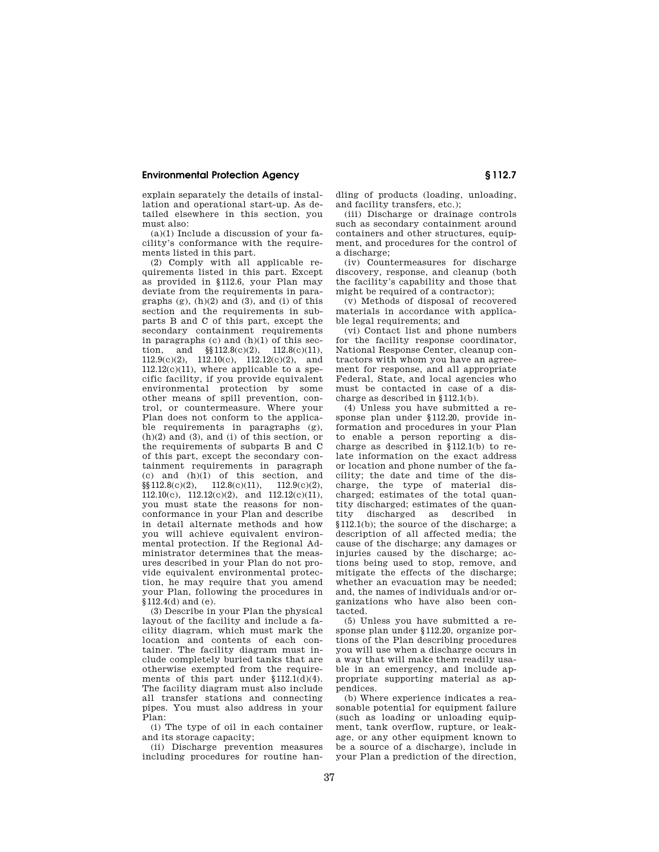# **Environmental Protection Agency § 112.7**

explain separately the details of installation and operational start-up. As detailed elsewhere in this section, you must also:

(a)(1) Include a discussion of your facility's conformance with the requirements listed in this part.

(2) Comply with all applicable requirements listed in this part. Except as provided in §112.6, your Plan may deviate from the requirements in paragraphs  $(g)$ ,  $(h)(2)$  and  $(3)$ , and  $(i)$  of this section and the requirements in subparts B and C of this part, except the secondary containment requirements in paragraphs (c) and (h)(1) of this section, and  $\frac{\$12.8(c)(2)}{12.8(c)(11)}$ , 112.9(c)(2), 112.10(c), 112.12(c)(2), and  $112.12(c)(11)$ , where applicable to a specific facility, if you provide equivalent environmental protection by some other means of spill prevention, control, or countermeasure. Where your Plan does not conform to the applicable requirements in paragraphs (g),  $(h)(2)$  and  $(3)$ , and  $(i)$  of this section, or the requirements of subparts B and C of this part, except the secondary containment requirements in paragraph (c) and (h)(1) of this section, and  $\S(112.8(c)(2), 112.8(c)(11), 112.9(c)(2),$  $112.8(c)(11),$ 112.10(c), 112.12(c)(2), and 112.12(c)(11), you must state the reasons for nonconformance in your Plan and describe in detail alternate methods and how you will achieve equivalent environmental protection. If the Regional Administrator determines that the measures described in your Plan do not provide equivalent environmental protection, he may require that you amend your Plan, following the procedures in  $$112.4(d)$  and (e).

(3) Describe in your Plan the physical layout of the facility and include a facility diagram, which must mark the location and contents of each container. The facility diagram must include completely buried tanks that are otherwise exempted from the requirements of this part under §112.1(d)(4). The facility diagram must also include all transfer stations and connecting pipes. You must also address in your Plan:

(i) The type of oil in each container and its storage capacity;

(ii) Discharge prevention measures including procedures for routine handling of products (loading, unloading, and facility transfers, etc.);

(iii) Discharge or drainage controls such as secondary containment around containers and other structures, equipment, and procedures for the control of a discharge;

(iv) Countermeasures for discharge discovery, response, and cleanup (both the facility's capability and those that might be required of a contractor);

(v) Methods of disposal of recovered materials in accordance with applicable legal requirements; and

(vi) Contact list and phone numbers for the facility response coordinator, National Response Center, cleanup contractors with whom you have an agreement for response, and all appropriate Federal, State, and local agencies who must be contacted in case of a discharge as described in §112.1(b).

(4) Unless you have submitted a response plan under §112.20, provide information and procedures in your Plan to enable a person reporting a discharge as described in §112.1(b) to relate information on the exact address or location and phone number of the facility; the date and time of the discharge, the type of material discharged; estimates of the total quantity discharged; estimates of the quan-<br>tity discharged as described in discharged as described in §112.1(b); the source of the discharge; a description of all affected media; the cause of the discharge; any damages or injuries caused by the discharge; actions being used to stop, remove, and mitigate the effects of the discharge; whether an evacuation may be needed; and, the names of individuals and/or organizations who have also been contacted.

(5) Unless you have submitted a response plan under §112.20, organize portions of the Plan describing procedures you will use when a discharge occurs in a way that will make them readily usable in an emergency, and include appropriate supporting material as appendices.

(b) Where experience indicates a reasonable potential for equipment failure (such as loading or unloading equipment, tank overflow, rupture, or leakage, or any other equipment known to be a source of a discharge), include in your Plan a prediction of the direction,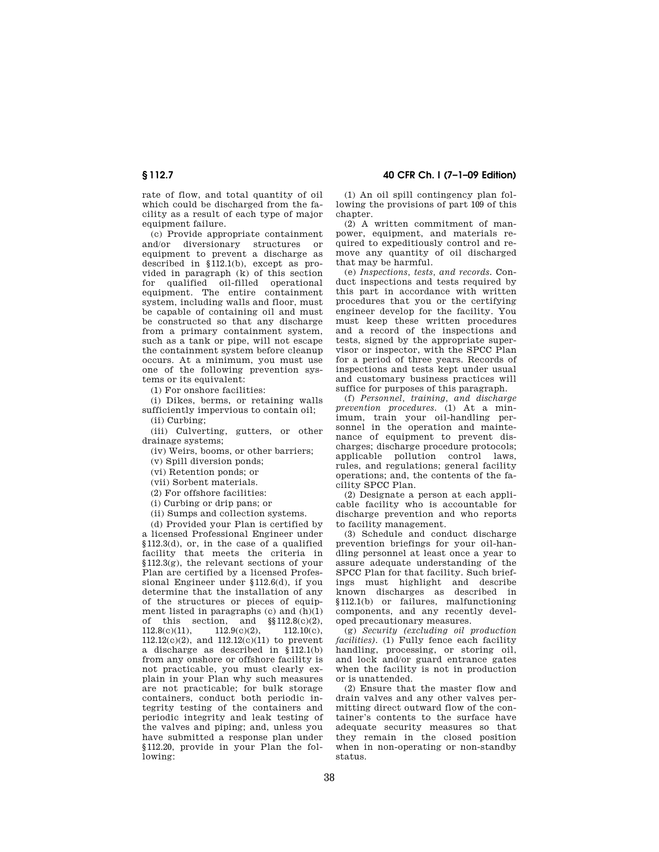rate of flow, and total quantity of oil which could be discharged from the facility as a result of each type of major equipment failure.

(c) Provide appropriate containment and/or diversionary structures or equipment to prevent a discharge as described in §112.1(b), except as provided in paragraph  $(k)$  of this section for qualified oil-filled operational equipment. The entire containment system, including walls and floor, must be capable of containing oil and must be constructed so that any discharge from a primary containment system, such as a tank or pipe, will not escape the containment system before cleanup occurs. At a minimum, you must use one of the following prevention systems or its equivalent:

(1) For onshore facilities:

(i) Dikes, berms, or retaining walls sufficiently impervious to contain oil; (ii) Curbing;

(iii) Culverting, gutters, or other drainage systems;

(iv) Weirs, booms, or other barriers;

(v) Spill diversion ponds;

(vi) Retention ponds; or

(vii) Sorbent materials.

(2) For offshore facilities:

(i) Curbing or drip pans; or

(ii) Sumps and collection systems.

(d) Provided your Plan is certified by

a licensed Professional Engineer under §112.3(d), or, in the case of a qualified facility that meets the criteria in §112.3(g), the relevant sections of your Plan are certified by a licensed Professional Engineer under §112.6(d), if you determine that the installation of any of the structures or pieces of equipment listed in paragraphs  $(c)$  and  $(h)(1)$ of this section, and §§112.8(c)(2),  $112.8(c)(11),$   $112.9(c)(2),$   $112.10(c),$  $112.12(c)(2)$ , and  $112.12(c)(11)$  to prevent a discharge as described in §112.1(b) from any onshore or offshore facility is not practicable, you must clearly explain in your Plan why such measures are not practicable; for bulk storage containers, conduct both periodic integrity testing of the containers and periodic integrity and leak testing of the valves and piping; and, unless you have submitted a response plan under §112.20, provide in your Plan the following:

**§ 112.7 40 CFR Ch. I (7–1–09 Edition)** 

(1) An oil spill contingency plan following the provisions of part 109 of this chapter

(2) A written commitment of manpower, equipment, and materials required to expeditiously control and remove any quantity of oil discharged that may be harmful.

(e) *Inspections, tests, and records.* Conduct inspections and tests required by this part in accordance with written procedures that you or the certifying engineer develop for the facility. You must keep these written procedures and a record of the inspections and tests, signed by the appropriate supervisor or inspector, with the SPCC Plan for a period of three years. Records of inspections and tests kept under usual and customary business practices will suffice for purposes of this paragraph.

(f) *Personnel, training, and discharge prevention procedures.* (1) At a minimum, train your oil-handling personnel in the operation and maintenance of equipment to prevent discharges; discharge procedure protocols; applicable pollution control laws, rules, and regulations; general facility operations; and, the contents of the facility SPCC Plan.

(2) Designate a person at each applicable facility who is accountable for discharge prevention and who reports to facility management.

(3) Schedule and conduct discharge prevention briefings for your oil-handling personnel at least once a year to assure adequate understanding of the SPCC Plan for that facility. Such briefings must highlight and describe known discharges as described in §112.1(b) or failures, malfunctioning components, and any recently developed precautionary measures.

(g) *Security (excluding oil production facilities*). (1) Fully fence each facility handling, processing, or storing oil, and lock and/or guard entrance gates when the facility is not in production or is unattended.

(2) Ensure that the master flow and drain valves and any other valves permitting direct outward flow of the container's contents to the surface have adequate security measures so that they remain in the closed position when in non-operating or non-standby status.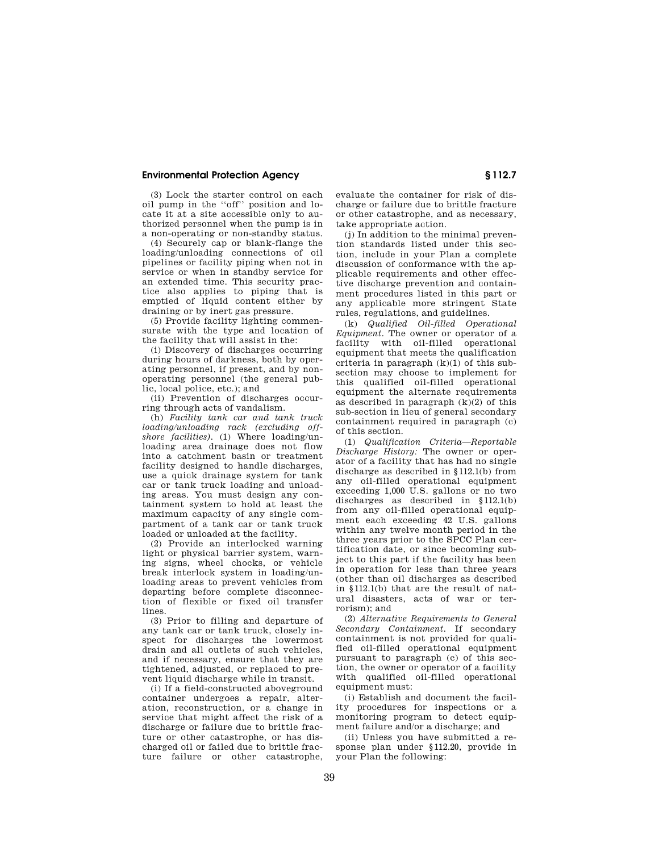# **Environmental Protection Agency § 112.7**

(3) Lock the starter control on each oil pump in the ''off'' position and locate it at a site accessible only to authorized personnel when the pump is in a non-operating or non-standby status.

(4) Securely cap or blank-flange the loading/unloading connections of oil pipelines or facility piping when not in service or when in standby service for an extended time. This security practice also applies to piping that is emptied of liquid content either by draining or by inert gas pressure.

(5) Provide facility lighting commensurate with the type and location of the facility that will assist in the:

(i) Discovery of discharges occurring during hours of darkness, both by operating personnel, if present, and by nonoperating personnel (the general public, local police, etc.); and

(ii) Prevention of discharges occurring through acts of vandalism.

(h) *Facility tank car and tank truck loading/unloading rack (excluding offshore facilities).* (1) Where loading/unloading area drainage does not flow into a catchment basin or treatment facility designed to handle discharges, use a quick drainage system for tank car or tank truck loading and unloading areas. You must design any containment system to hold at least the maximum capacity of any single compartment of a tank car or tank truck loaded or unloaded at the facility.

(2) Provide an interlocked warning light or physical barrier system, warning signs, wheel chocks, or vehicle break interlock system in loading/unloading areas to prevent vehicles from departing before complete disconnection of flexible or fixed oil transfer lines.

(3) Prior to filling and departure of any tank car or tank truck, closely inspect for discharges the lowermost drain and all outlets of such vehicles, and if necessary, ensure that they are tightened, adjusted, or replaced to prevent liquid discharge while in transit.

(i) If a field-constructed aboveground container undergoes a repair, alteration, reconstruction, or a change in service that might affect the risk of a discharge or failure due to brittle fracture or other catastrophe, or has discharged oil or failed due to brittle fracture failure or other catastrophe, evaluate the container for risk of discharge or failure due to brittle fracture or other catastrophe, and as necessary, take appropriate action.

(j) In addition to the minimal prevention standards listed under this section, include in your Plan a complete discussion of conformance with the applicable requirements and other effective discharge prevention and containment procedures listed in this part or any applicable more stringent State rules, regulations, and guidelines.

(k) *Qualified Oil-filled Operational Equipment.* The owner or operator of a facility with oil-filled operational equipment that meets the qualification criteria in paragraph  $(k)(1)$  of this subsection may choose to implement for this qualified oil-filled operational equipment the alternate requirements as described in paragraph (k)(2) of this sub-section in lieu of general secondary containment required in paragraph (c) of this section.

(1) *Qualification Criteria—Reportable Discharge History:* The owner or operator of a facility that has had no single discharge as described in §112.1(b) from any oil-filled operational equipment exceeding 1,000 U.S. gallons or no two discharges as described in §112.1(b) from any oil-filled operational equipment each exceeding 42 U.S. gallons within any twelve month period in the three years prior to the SPCC Plan certification date, or since becoming subject to this part if the facility has been in operation for less than three years (other than oil discharges as described in §112.1(b) that are the result of natural disasters, acts of war or terrorism); and

(2) *Alternative Requirements to General Secondary Containment.* If secondary containment is not provided for qualified oil-filled operational equipment pursuant to paragraph (c) of this section, the owner or operator of a facility with qualified oil-filled operational equipment must:

(i) Establish and document the facility procedures for inspections or a monitoring program to detect equipment failure and/or a discharge; and

(ii) Unless you have submitted a response plan under §112.20, provide in your Plan the following: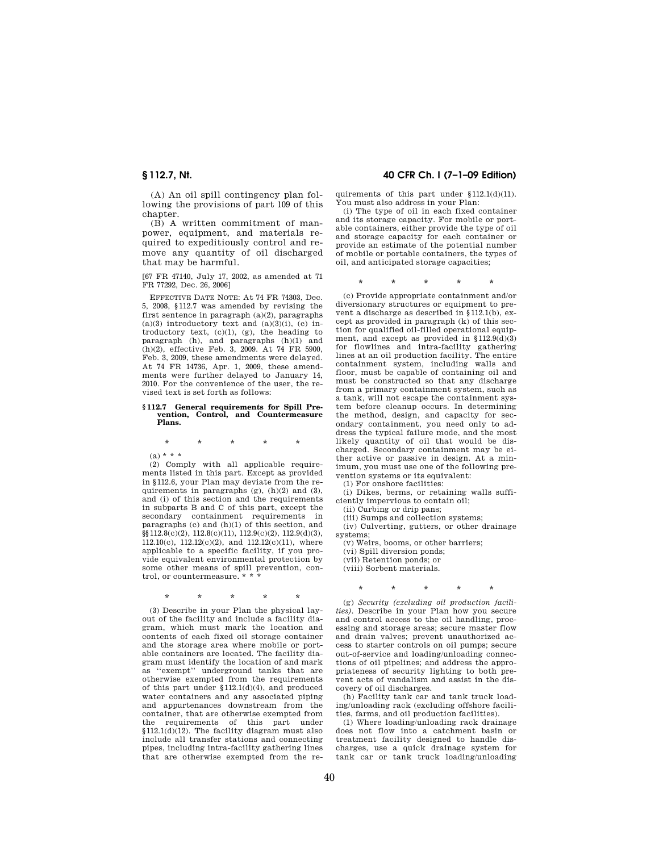(A) An oil spill contingency plan following the provisions of part 109 of this chapter.

(B) A written commitment of manpower, equipment, and materials required to expeditiously control and remove any quantity of oil discharged that may be harmful.

[67 FR 47140, July 17, 2002, as amended at 71 FR 77292, Dec. 26, 2006]

EFFECTIVE DATE NOTE: At 74 FR 74303, Dec. 5, 2008, §112.7 was amended by revising the first sentence in paragraph (a)(2), paragraphs  $(a)(3)$  introductory text and  $(a)(3)(i)$ ,  $(c)$  introductory text, (c)(1), (g), the heading to paragraph (h), and paragraphs (h)(1) and (h)(2), effective Feb. 3, 2009. At 74 FR 5900, Feb. 3, 2009, these amendments were delayed. At 74 FR 14736, Apr. 1, 2009, these amendments were further delayed to January 14, 2010. For the convenience of the user, the revised text is set forth as follows:

### **§ 112.7 General requirements for Spill Prevention, Control, and Countermeasure Plans.**

\* \* \* \* \*

 $(a) * * *$ 

(2) Comply with all applicable requirements listed in this part. Except as provided in §112.6, your Plan may deviate from the requirements in paragraphs (g), (h)(2) and (3), and (i) of this section and the requirements in subparts B and C of this part, except the secondary containment requirements in paragraphs (c) and (h)(1) of this section, and §§112.8(c)(2), 112.8(c)(11), 112.9(c)(2), 112.9(d)(3),  $112.10(c)$ ,  $112.12(c)(2)$ , and  $112.12(c)(11)$ , where applicable to a specific facility, if you provide equivalent environmental protection by some other means of spill prevention, control, or countermeasure. \* \* \*

\* \* \* \* \*

(3) Describe in your Plan the physical layout of the facility and include a facility diagram, which must mark the location and contents of each fixed oil storage container and the storage area where mobile or portable containers are located. The facility diagram must identify the location of and mark as ''exempt'' underground tanks that are otherwise exempted from the requirements of this part under §112.1(d)(4), and produced water containers and any associated piping and appurtenances downstream from the container, that are otherwise exempted from the requirements of this part under §112.1(d)(12). The facility diagram must also include all transfer stations and connecting pipes, including intra-facility gathering lines that are otherwise exempted from the re-

# **§ 112.7, Nt. 40 CFR Ch. I (7–1–09 Edition)**

quirements of this part under §112.1(d)(11). You must also address in your Plan:

(i) The type of oil in each fixed container and its storage capacity. For mobile or portable containers, either provide the type of oil and storage capacity for each container or provide an estimate of the potential number of mobile or portable containers, the types of oil, and anticipated storage capacities;

## \* \* \* \* \*

(c) Provide appropriate containment and/or diversionary structures or equipment to prevent a discharge as described in §112.1(b), except as provided in paragraph (k) of this section for qualified oil-filled operational equipment, and except as provided in §112.9(d)(3) for flowlines and intra-facility gathering lines at an oil production facility. The entire containment system, including walls and floor, must be capable of containing oil and must be constructed so that any discharge from a primary containment system, such as a tank, will not escape the containment system before cleanup occurs. In determining the method, design, and capacity for secondary containment, you need only to address the typical failure mode, and the most likely quantity of oil that would be discharged. Secondary containment may be either active or passive in design. At a minimum, you must use one of the following prevention systems or its equivalent:

(1) For onshore facilities:

(i) Dikes, berms, or retaining walls sufficiently impervious to contain oil;

(ii) Curbing or drip pans;

(iii) Sumps and collection systems;

(iv) Culverting, gutters, or other drainage systems;

(v) Weirs, booms, or other barriers;

(vi) Spill diversion ponds;

(vii) Retention ponds; or

(viii) Sorbent materials.

\* \* \* \* \*

(g) *Security (excluding oil production facilities).* Describe in your Plan how you secure and control access to the oil handling, processing and storage areas; secure master flow and drain valves; prevent unauthorized access to starter controls on oil pumps; secure out-of-service and loading/unloading connections of oil pipelines; and address the appropriateness of security lighting to both prevent acts of vandalism and assist in the discovery of oil discharges.

(h) Facility tank car and tank truck loading/unloading rack (excluding offshore facilities, farms, and oil production facilities).

(1) Where loading/unloading rack drainage does not flow into a catchment basin or treatment facility designed to handle discharges, use a quick drainage system for tank car or tank truck loading/unloading